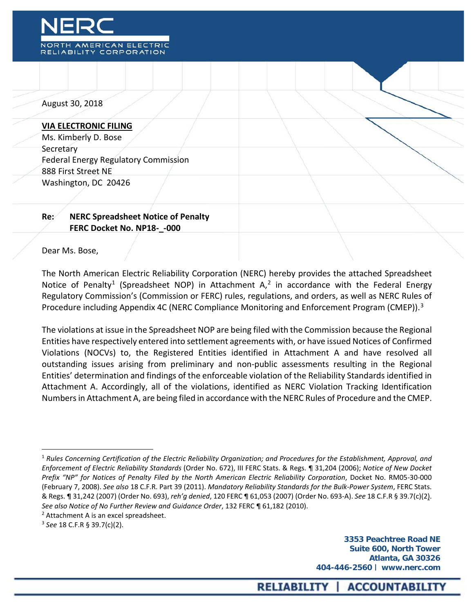

August 30, 2018

#### **VIA ELECTRONIC FILING**

Ms. Kimberly D. Bose **Secretary** Federal Energy Regulatory Commission 888 First Street NE Washington, DC 20426

# **Re: NERC Spreadsheet Notice of Penalty FERC Docket No. NP18-\_-000**

#### Dear Ms. Bose,

The North American Electric Reliability Corporation (NERC) hereby provides the attached Spreadsheet Notice of Penalty<sup>[1](#page-0-0)</sup> (Spreadsheet NOP) in Attachment  $A$ ,<sup>[2](#page-0-1)</sup> in accordance with the Federal Energy Regulatory Commission's (Commission or FERC) rules, regulations, and orders, as well as NERC Rules of Procedure including Appendix 4C (NERC Compliance Monitoring and Enforcement Program (CMEP)).<sup>[3](#page-0-2)</sup>

The violations at issue in the Spreadsheet NOP are being filed with the Commission because the Regional Entities have respectively entered into settlement agreements with, or have issued Notices of Confirmed Violations (NOCVs) to, the Registered Entities identified in Attachment A and have resolved all outstanding issues arising from preliminary and non-public assessments resulting in the Regional Entities' determination and findings of the enforceable violation of the Reliability Standards identified in Attachment A. Accordingly, all of the violations, identified as NERC Violation Tracking Identification Numbers in Attachment A, are being filed in accordance with the NERC Rules of Procedure and the CMEP.

 $\overline{a}$ 

<span id="page-0-0"></span><sup>1</sup> *Rules Concerning Certification of the Electric Reliability Organization; and Procedures for the Establishment, Approval, and Enforcement of Electric Reliability Standards* (Order No. 672), III FERC Stats. & Regs. ¶ 31,204 (2006); *Notice of New Docket Prefix "NP" for Notices of Penalty Filed by the North American Electric Reliability Corporation*, Docket No. RM05-30-000 (February 7, 2008). *See also* 18 C.F.R. Part 39 (2011). *Mandatory Reliability Standards for the Bulk-Power System*, FERC Stats. & Regs. ¶ 31,242 (2007) (Order No. 693), *reh'g denied*, 120 FERC ¶ 61,053 (2007) (Order No. 693-A). *See* 18 C.F.R § 39.7(c)(2). *See also Notice of No Further Review and Guidance Order*, 132 FERC ¶ 61,182 (2010).

<span id="page-0-1"></span><sup>&</sup>lt;sup>2</sup> Attachment A is an excel spreadsheet.

<span id="page-0-2"></span><sup>3</sup> *See* 18 C.F.R § 39.7(c)(2).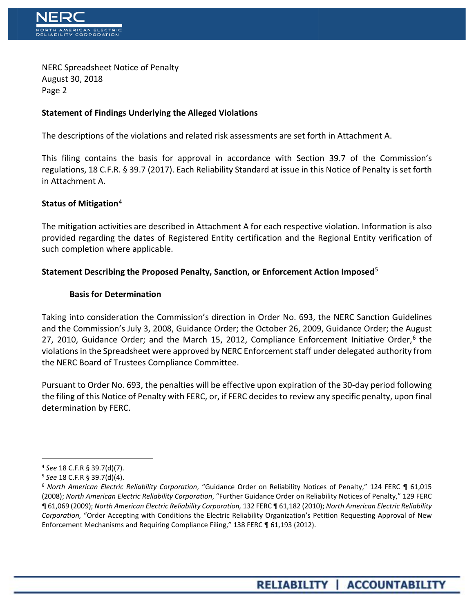

NERC Spreadsheet Notice of Penalty August 30, 2018 Page 2

# **Statement of Findings Underlying the Alleged Violations**

The descriptions of the violations and related risk assessments are set forth in Attachment A.

This filing contains the basis for approval in accordance with Section 39.7 of the Commission's regulations, 18 C.F.R. § 39.7 (2017). Each Reliability Standard at issue in this Notice of Penalty is set forth in Attachment A.

### **Status of Mitigation**[4](#page-1-0)

The mitigation activities are described in Attachment A for each respective violation. Information is also provided regarding the dates of Registered Entity certification and the Regional Entity verification of such completion where applicable.

# **Statement Describing the Proposed Penalty, Sanction, or Enforcement Action Imposed**[5](#page-1-1)

### **Basis for Determination**

Taking into consideration the Commission's direction in Order No. 693, the NERC Sanction Guidelines and the Commission's July 3, 2008, Guidance Order; the October 26, 2009, Guidance Order; the August 27, 2010, Guidance Order; and the March 15, 2012, Compliance Enforcement Initiative Order,<sup>[6](#page-1-2)</sup> the violations in the Spreadsheet were approved by NERC Enforcement staff under delegated authority from the NERC Board of Trustees Compliance Committee.

Pursuant to Order No. 693, the penalties will be effective upon expiration of the 30-day period following the filing of this Notice of Penalty with FERC, or, if FERC decides to review any specific penalty, upon final determination by FERC.

 $\overline{a}$ 

<span id="page-1-0"></span><sup>4</sup> *See* 18 C.F.R § 39.7(d)(7).

<span id="page-1-1"></span><sup>5</sup> *See* 18 C.F.R § 39.7(d)(4).

<span id="page-1-2"></span><sup>6</sup> *North American Electric Reliability Corporation*, "Guidance Order on Reliability Notices of Penalty," 124 FERC ¶ 61,015 (2008); *North American Electric Reliability Corporation*, "Further Guidance Order on Reliability Notices of Penalty," 129 FERC ¶ 61,069 (2009); *North American Electric Reliability Corporation,* 132 FERC ¶ 61,182 (2010); *North American Electric Reliability Corporation,* "Order Accepting with Conditions the Electric Reliability Organization's Petition Requesting Approval of New Enforcement Mechanisms and Requiring Compliance Filing," 138 FERC ¶ 61,193 (2012).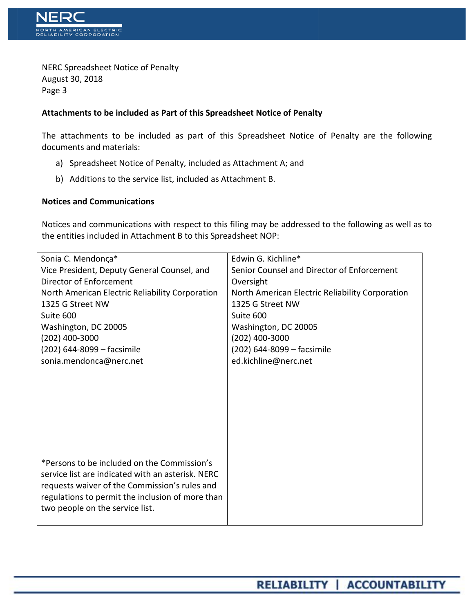

NERC Spreadsheet Notice of Penalty August 30, 2018 Page 3

### **Attachments to be included as Part of this Spreadsheet Notice of Penalty**

The attachments to be included as part of this Spreadsheet Notice of Penalty are the following documents and materials:

- a) Spreadsheet Notice of Penalty, included as Attachment A; and
- b) Additions to the service list, included as Attachment B.

# **Notices and Communications**

Notices and communications with respect to this filing may be addressed to the following as well as to the entities included in Attachment B to this Spreadsheet NOP:

| Sonia C. Mendonça*                                | Edwin G. Kichline*                              |
|---------------------------------------------------|-------------------------------------------------|
| Vice President, Deputy General Counsel, and       | Senior Counsel and Director of Enforcement      |
| Director of Enforcement                           | Oversight                                       |
| North American Electric Reliability Corporation   | North American Electric Reliability Corporation |
| 1325 G Street NW                                  | 1325 G Street NW                                |
| Suite 600                                         | Suite 600                                       |
| Washington, DC 20005                              | Washington, DC 20005                            |
| $(202)$ 400-3000                                  | $(202)$ 400-3000                                |
| (202) 644-8099 - facsimile                        | (202) 644-8099 - facsimile                      |
| sonia.mendonca@nerc.net                           | ed.kichline@nerc.net                            |
|                                                   |                                                 |
|                                                   |                                                 |
|                                                   |                                                 |
|                                                   |                                                 |
|                                                   |                                                 |
|                                                   |                                                 |
|                                                   |                                                 |
|                                                   |                                                 |
| *Persons to be included on the Commission's       |                                                 |
| service list are indicated with an asterisk. NERC |                                                 |
| requests waiver of the Commission's rules and     |                                                 |
| regulations to permit the inclusion of more than  |                                                 |
| two people on the service list.                   |                                                 |
|                                                   |                                                 |